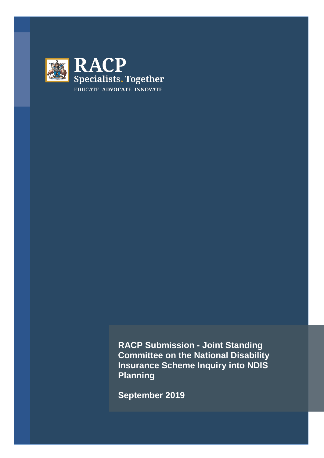

**RACP Submission - Joint Standing Committee on the National Disability Insurance Scheme Inquiry into NDIS Planning** 

**September 2019**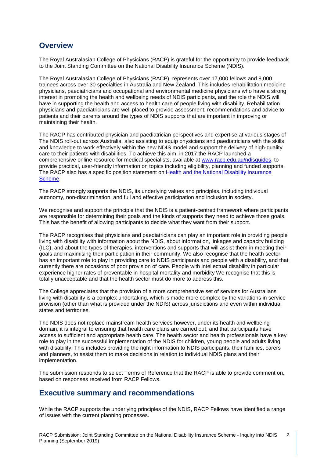# **Overview**

The Royal Australasian College of Physicians (RACP) is grateful for the opportunity to provide feedback to the Joint Standing Committee on the National Disability Insurance Scheme (NDIS).

The Royal Australasian College of Physicians (RACP), represents over 17,000 fellows and 8,000 trainees across over 30 specialties in Australia and New Zealand. This includes rehabilitation medicine physicians, paediatricians and occupational and environmental medicine physicians who have a strong interest in promoting the health and wellbeing needs of NDIS participants, and the role the NDIS will have in supporting the health and access to health care of people living with disability. Rehabilitation physicians and paediatricians are well placed to provide assessment, recommendations and advice to patients and their parents around the types of NDIS supports that are important in improving or maintaining their health.

The RACP has contributed physician and paediatrician perspectives and expertise at various stages of The NDIS roll-out across Australia, also assisting to equip physicians and paediatricians with the skills and knowledge to work effectively within the new NDIS model and support the delivery of high-quality care to their patients with disabilities. To achieve this aim, in 2017 the RACP launched a comprehensive online resource for medical specialists, available at [www.racp.edu.au/ndisguides,](http://www.racp.edu.au/ndisguides) to provide practical, user-friendly information on topics including eligibility, planning and funded supports. The RACP also has a specific position statement on [Health and the National Disability Insurance](https://www.racp.edu.au/advocacy/policy-and-advocacy-priorities/national-disability-insurance-scheme)  [Scheme.](https://www.racp.edu.au/advocacy/policy-and-advocacy-priorities/national-disability-insurance-scheme)

The RACP strongly supports the NDIS, its underlying values and principles, including individual autonomy, non-discrimination, and full and effective participation and inclusion in society.

We recognise and support the principle that the NDIS is a patient-centred framework where participants are responsible for determining their goals and the kinds of supports they need to achieve those goals. This has the benefit of allowing participants to decide what they want from their support.

The RACP recognises that physicians and paediatricians can play an important role in providing people living with disability with information about the NDIS, about information, linkages and capacity building (ILC), and about the types of therapies, interventions and supports that will assist them in meeting their goals and maximising their participation in their community. We also recognise that the health sector has an important role to play in providing care to NDIS participants and people with a disability, and that currently there are occasions of poor provision of care. People with intellectual disability in particular experience higher rates of preventable in-hospital mortality and morbidity We recognise that this is totally unacceptable and that the health sector must do more to address this.

The College appreciates that the provision of a more comprehensive set of services for Australians living with disability is a complex undertaking, which is made more complex by the variations in service provision (other than what is provided under the NDIS) across jurisdictions and even within individual states and territories.

The NDIS does not replace mainstream health services however, under its health and wellbeing domain, it is integral to ensuring that health care plans are carried out, and that participants have access to sufficient and appropriate health care. The health sector and health professionals have a key role to play in the successful implementation of the NDIS for children, young people and adults living with disability. This includes providing the right information to NDIS participants, their families, carers and planners, to assist them to make decisions in relation to individual NDIS plans and their implementation.

The submission responds to select Terms of Reference that the RACP is able to provide comment on, based on responses received from RACP Fellows.

# **Executive summary and recommendations**

While the RACP supports the underlying principles of the NDIS, RACP Fellows have identified a range of issues with the current planning processes.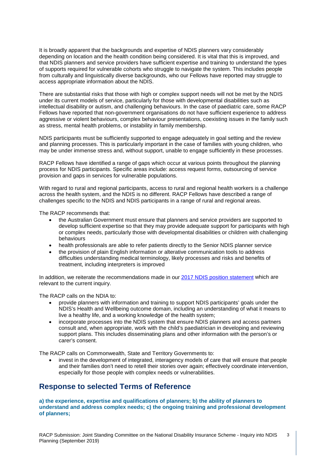<span id="page-2-0"></span>It is broadly apparent that the backgrounds and expertise of NDIS planners vary considerably depending on location and the health condition being considered. It is vital that this is improved, and that NDIS planners and service providers have sufficient expertise and training to understand the types of supports required for vulnerable cohorts who struggle to navigate the system. This includes people from culturally and linguistically diverse backgrounds, who our Fellows have reported may struggle to access appropriate information about the NDIS.

<span id="page-2-2"></span><span id="page-2-1"></span>There are substantial risks that those with high or complex support needs will not be met by the NDIS under its current models of service, particularly for those with developmental disabilities such as intellectual disability or autism, and challenging behaviours. In the case of paediatric care, some RACP Fellows have reported that non-government organisations do not have sufficient experience to address aggressive or violent behaviours, complex behaviour presentations, coexisting issues in the family such as stress, mental health problems, or instability in family membership.

NDIS participants must be sufficiently supported to engage adequately in goal setting and the review and planning processes. This is particularly important in the case of families with young children, who may be under immense stress and, without support, unable to engage sufficiently in these processes.

RACP Fellows have identified a range of gaps which occur at various points throughout the planning process for NDIS participants. Specific areas include: access request forms, outsourcing of service provision and gaps in services for vulnerable populations.

With regard to rural and regional participants, access to rural and regional health workers is a challenge across the health system, and the NDIS is no different. RACP Fellows have described a range of challenges specific to the NDIS and NDIS participants in a range of rural and regional areas.

The RACP recommends that:

- the Australian Government must ensure that planners and service providers are supported to develop sufficient expertise so that they may provide adequate support for participants with high or complex needs, particularly those with developmental disabilities or children with challenging behaviours
- health professionals are able to refer patients directly to the Senior NDIS planner service
- the provision of plain English information or alterative communication tools to address difficulties understanding medical terminology, likely processes and risks and benefits of treatment, including interpreters is improved

In addition, we reiterate the recommendations made in our [2017 NDIS position statement](https://www.racp.edu.au/docs/default-source/advocacy-library/health-and-the-national-disability-insurance-scheme-position-statement.pdf?sfvrsn=fac2021a_6) which are relevant to the current inquiry.

The RACP calls on the NDIA to:

- provide planners with information and training to support NDIS participants' goals under the NDIS's Health and Wellbeing outcome domain, including an understanding of what it means to live a healthy life, and a working knowledge of the health system;
- incorporate processes into the NDIS system that ensure NDIS planners and access partners consult and, when appropriate, work with the child's paediatrician in developing and reviewing support plans. This includes disseminating plans and other information with the person's or carer's consent.

The RACP calls on Commonwealth, State and Territory Governments to:

• invest in the development of integrated, interagency models of care that will ensure that people and their families don't need to retell their stories over again; effectively coordinate intervention, especially for those people with complex needs or vulnerabilities.

# **Response to selected Terms of Reference**

**a) the experience, expertise and qualifications of planners; b) the ability of planners to understand and address complex needs; c) the ongoing training and professional development of planners;**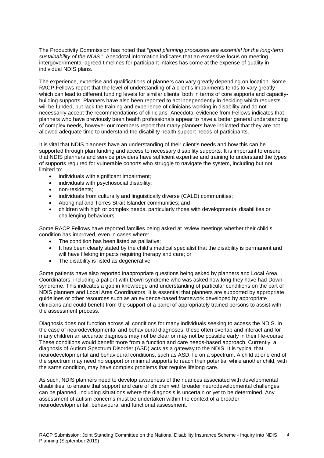The Productivity Commission has noted that "*good planning processes are essential for the long-term sustainability of the NDIS*."[i](#page-2-0) Anecdotal information indicates that an excessive focus on meeting intergovernmental-agreed timelines for participant intakes has come at the expense of quality in individual NDIS plans.

The experience, expertise and qualifications of planners can vary greatly depending on location. Some RACP Fellows report that the level of understanding of a client's impairments tends to vary greatly which can lead to different funding levels for similar clients, both in terms of core supports and capacitybuilding supports. Planners have also been reported to act independently in deciding which requests will be funded, but lack the training and experience of clinicians working in disability and do not necessarily accept the recommendations of clinicians. Anecdotal evidence from Fellows indicates that planners who have previously been health professionals appear to have a better general understanding of complex needs, however our members report that many planners have indicated that they are not allowed adequate time to understand the disability health support needs of participants.

<span id="page-3-0"></span>It is vital that NDIS planners have an understanding of their client's needs and how this can be supported through plan funding and access to necessary disability supports. It is important to ensure that NDIS planners and service providers have sufficient expertise and training to understand the types of supports required for vulnerable cohorts who struggle to navigate the system, including but not limited to:

- individuals with significant impairment;
- individuals with psychosocial disability;
- non-residents:
- individuals from culturally and linguistically diverse (CALD) communities;
- Aboriginal and Torres Strait Islander communities; and
- children with high or complex needs, particularly those with developmental disabilities or challenging behaviours.

Some RACP Fellows have reported families being asked at review meetings whether their child's condition has improved, even in cases where:

- The condition has been listed as palliative;
- It has been clearly stated by the child's medical specialist that the disability is permanent and will have lifelong impacts requiring therapy and care; or
- The disability is listed as degenerative.

Some patients have also reported inappropriate questions being asked by planners and Local Area Coordinators, including a patient with Down syndrome who was asked how long they have had Down syndrome. This indicates a gap in knowledge and understanding of particular conditions on the part of NDIS planners and Local Area Coordinators. It is essential that planners are supported by appropriate guidelines or other resources such as an evidence-based framework developed by appropriate clinicians and could benefit from the support of a panel of appropriately trained persons to assist with the assessment process.

Diagnosis does not function across all conditions for many individuals seeking to access the NDIS. In the case of neurodevelopmental and behavioural diagnoses, these often overlap and interact and for many children an accurate diagnosis may not be clear or may not be possible early in their life-course. These conditions would benefit more from a function and care needs-based approach. Currently, a diagnosis of Autism Spectrum Disorder (ASD) acts as a gateway to the NDIS. It is typical that neurodevelopmental and behavioural conditions, such as ASD, lie on a spectrum. A child at one end of the spectrum may need no support or minimal supports to reach their potential while another child, with the same condition, may have complex problems that require lifelong care.

As such, NDIS planners need to develop awareness of the nuances associated with developmental disabilities, to ensure that support and care of children with broader neurodevelopmental challenges can be planned, including situations where the diagnosis is uncertain or yet to be determined. Any assessment of autism concerns must be undertaken within the context of a broader neurodevelopmental, behavioural and functional assessment.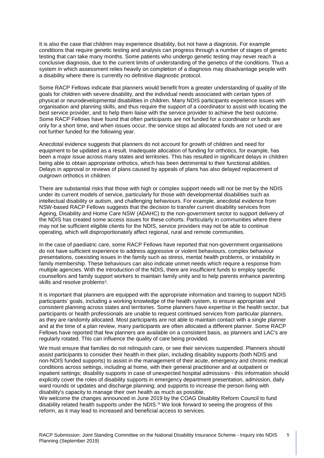It is also the case that children may experience disability, but not have a diagnosis. For example conditions that require genetic testing and analysis can progress through a number of stages of genetic testing that can take many months. Some patients who undergo genetic testing may never reach a conclusive diagnosis, due to the current limits of understanding of the genetics of the conditions. Thus a system in which assessment relies heavily on completion of a diagnosis may disadvantage people with a disability where there is currently no definitive diagnostic protocol.

Some RACP Fellows indicate that planners would benefit from a greater understanding of quality of life goals for children with severe disability, and the individual needs associated with certain types of physical or neurodevelopmental disabilities in children. Many NDIS participants experience issues with organisation and planning skills, and thus require the support of a coordinator to assist with locating the best service provider, and to help them liaise with the service provider to achieve the best outcome. Some RACP Fellows have found that often participants are not funded for a coordinator or funds are only for a short time, and when issues occur, the service stops ad allocated funds are not used or are not further funded for the following year.

<span id="page-4-0"></span>Anecdotal evidence suggests that planners do not account for growth of children and need for equipment to be updated as a result. Inadequate allocation of funding for orthotics, for example, has been a major issue across many states and territories. This has resulted in significant delays in children being able to obtain appropriate orthotics, which has been detrimental to their functional abilities. Delays in approval or reviews of plans caused by appeals of plans has also delayed replacement of outgrown orthotics in children.

There are substantial risks that those with high or complex support needs will not be met by the NDIS under its current models of service, particularly for those with developmental disabilities such as intellectual disability or autism, and challenging behaviours. For example, anecdotal evidence from NSW-based RACP Fellows suggests that the decision to transfer current disability services from Ageing, Disability and Home Care NSW (ADAHC) to the non-government sector to support delivery of the NDIS has created some access issues for these cohorts. Particularly in communities where there may not be sufficient eligible clients for the NDIS, service providers may not be able to continue operating, which will disproportionately affect regional, rural and remote communities.

In the case of paediatric care, some RACP Fellows have reported that non-government organisations do not have sufficient experience to address aggressive or violent behaviours, complex behaviour presentations, coexisting issues in the family such as stress, mental health problems, or instability in family membership. These behaviours can also indicate unmet needs which require a response from multiple agencies. With the introduction of the NDIS, there are insufficient funds to employ specific counsellors and family support workers to maintain family unity and to help parents enhance parenting skills and resolve problems<sup>ii</sup>.

It is important that planners are equipped with the appropriate information and training to support NDIS participants' goals, including a working knowledge of the health system, to ensure appropriate and consistent planning across states and territories. Some planners have expertise in the health sector, but participants or health professionals are unable to request continued services from particular planners, as they are randomly allocated. Most participants are not able to maintain contact with a single planner and at the time of a plan review, many participants are often allocated a different planner. Some RACP Fellows have reported that few planners are available on a consistent basis, as planners and LAC's are regularly rotated. This can influence the quality of care being provided.

We must ensure that families do not relinquish care, or see their services suspended. Planners should assist participants to consider their health in their plan, including disability supports (both NDIS and non-NDIS funded supports) to assist in the management of their acute, emergency and chronic medical conditions across settings, including at home, with their general practitioner and at outpatient or inpatient settings; disability supports in case of unexpected hospital admissions - this information should explicitly cover the roles of disability supports in emergency department presentation, admission, daily ward rounds or updates and discharge planning; and supports to increase the person living with disability's capacity to manage their own health as much as possible.

We welcome the changes announced in June 2019 by the COAG Disability Reform Council to fund disability related health supports under the NDIS.<sup>[iii](#page-2-2)</sup> We look forward to seeing the progress of this reform, as it may lead to increased and beneficial access to services.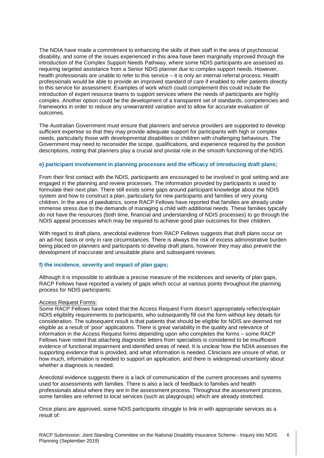The NDIA have made a commitment to enhancing the skills of their staff in the area of psychosocial disability, and some of the issues experienced in this area have been marginally improved through the introduction of the Complex Support Needs Pathway, where some NDIS participants are assessed as requiring targeted assistance from a Senior NDIS planner due to complex support needs. However, health professionals are unable to refer to this service – it is only an internal referral process. Health professionals would be able to provide an improved standard of care if enabled to refer patients directly to this service for assessment. Examples of work which could complement this could include the introduction of expert resource teams to support services where the needs of participants are highly complex. Another option could be the development of a transparent set of standards, competencies and frameworks in order to reduce any unwarranted variation and to allow for accurate evaluation of outcomes.

The Australian Government must ensure that planners and service providers are supported to develop sufficient expertise so that they may provide adequate support for participants with high or complex needs, particularly those with developmental disabilities or children with challenging behaviours. The Government may need to reconsider the scope, qualifications, and experience required by the position descriptions, noting that planners play a crucial and pivotal role in the smooth functioning of the NDIS.

## **e) participant involvement in planning processes and the efficacy of introducing draft plans;**

<span id="page-5-0"></span>From their first contact with the NDIS, participants are encouraged to be involved in goal setting and are engaged in the planning and review processes. The information provided by participants is used to formulate their next plan. There still exists some gaps around participant knowledge about the NDIS system and how to construct a plan, particularly for new participants and families of very young children. In the area of paediatrics, some RACP Fellows have reported that families are already under immense stress due to the demands of managing a child with additional needs. These families typically do not have the resources (both time, financial and understanding of NDIS processes) to go through the NDIS appeal processes which may be required to achieve good plan outcomes for their children.

<span id="page-5-1"></span>With regard to draft plans, anecdotal evidence from RACP Fellows suggests that draft plans occur on an ad-hoc basis or only in rare circumstances. There is always the risk of excess administrative burden being placed on planners and participants to develop draft plans, however they may also prevent the development of inaccurate and unsuitable plans and subsequent reviews.

## <span id="page-5-2"></span>**f) the incidence, severity and impact of plan gaps;**

Although it is impossible to attribute a precise measure of the incidences and severity of plan gaps, RACP Fellows have reported a variety of gaps which occur at various points throughout the planning process for NDIS participants:

## Access Request Forms:

Some RACP Fellows have noted that the Access Request Form doesn't appropriately reflect/explain NDIS eligibility requirements to participants, who subsequently fill out the form without key details for consideration. The subsequent result is that patients that should be eligible for NDIS are deemed not eligible as a result of 'poor' applications. There is great variability in the quality and relevance of information in the Access Request forms depending upon who completes the forms – some RACP Fellows have noted that attaching diagnostic letters from specialists is considered to be insufficient evidence of functional impairment and identified areas of need. It is unclear how the NDIA assesses the supporting evidence that is provided, and what information is needed. Clinicians are unsure of what, or how much, information is needed to support an application, and there is widespread uncertainty about whether a diagnosis is needed.

Anecdotal evidence suggests there is a lack of communication of the current processes and systems used for assessments with families. There is also a lack of feedback to families and health professionals about where they are in the assessment process. Throughout the assessment process, some families are referred to local services (such as playgroups) which are already stretched.

Once plans are approved, some NDIS participants struggle to link in with appropriate services as a result of: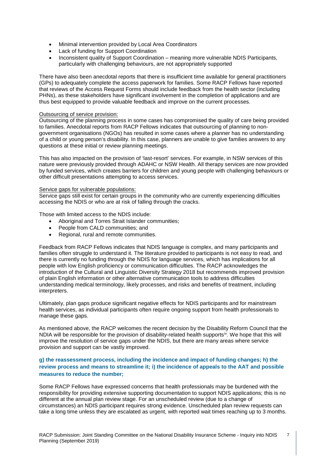- Minimal intervention provided by Local Area Coordinators
- Lack of funding for Support Coordination
- Inconsistent quality of Support Coordination meaning more vulnerable NDIS Participants, particularly with challenging behaviours, are not appropriately supported

There have also been anecdotal reports that there is insufficient time available for general practitioners (GPs) to adequately complete the access paperwork for families. Some RACP Fellows have reported that reviews of the Access Request Forms should include feedback from the health sector (including PHNs), as these stakeholders have significant involvement in the completion of applications and are thus best equipped to provide valuable feedback and improve on the current processes.

## Outsourcing of service provision:

Outsourcing of the planning process in some cases has compromised the quality of care being provided to families. Anecdotal reports from RACP Fellows indicates that outsourcing of planning to nongovernment organisations (NGOs) has resulted in some cases where a planner has no understanding of a child or young person's disability. In this case, planners are unable to give families answers to any questions at these initial or review planning meetings.

This has also impacted on the provision of 'last-resort' services. For example, in NSW services of this nature were previously provided through ADAHC or NSW Health. All therapy services are now provided by funded services, which creates barriers for children and young people with challenging behaviours or other difficult presentations attempting to access services.

## Service gaps for vulnerable populations:

Service gaps still exist for certain groups in the community who are currently experiencing difficulties accessing the NDIS or who are at risk of falling through the cracks.

Those with limited access to the NDIS include:

- Aboriginal and Torres Strait Islander communities;
- People from CALD communities; and
- Regional, rural and remote communities.

Feedback from RACP Fellows indicates that NDIS language is complex, and many participants and families often struggle to understand it. The literature provided to participants is not easy to read, and there is currently no funding through the NDIS for language services, which has implications for all people with low English proficiency or communication difficulties. The RACP acknowledges the introduction of the Cultural and Linguistic Diversity Strategy 2018 but recommends improved provision of plain English information or other alternative communication tools to address difficulties understanding medical terminology, likely processes, and risks and benefits of treatment, including interpreters.

Ultimately, plan gaps produce significant negative effects for NDIS participants and for mainstream health services, as individual participants often require ongoing support from health professionals to manage these gaps.

As mentioned above, the RACP welcomes the recent decision by the Disability Reform Council that the NDIA will be responsible for the provision of disability-related health supports<sup>iv</sup>. We hope that this will improve the resolution of service gaps under the NDIS, but there are many areas where service provision and support can be vastly improved.

# **g) the reassessment process, including the incidence and impact of funding changes; h) the review process and means to streamline it; i) the incidence of appeals to the AAT and possible measures to reduce the number;**

Some RACP Fellows have expressed concerns that health professionals may be burdened with the responsibility for providing extensive supporting documentation to support NDIS applications; this is no different at the annual plan review stage. For an unscheduled review (due to a change of circumstances) an NDIS participant requires strong evidence. Unscheduled plan review requests can take a long time unless they are escalated as urgent, with reported wait times reaching up to 3 months.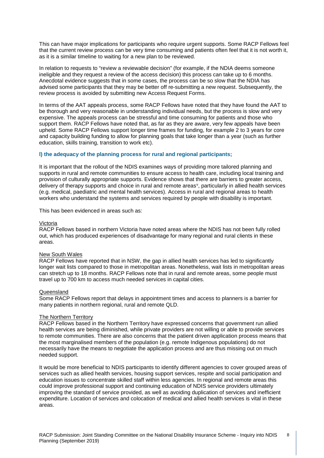This can have major implications for participants who require urgent supports. Some RACP Fellows feel that the current review process can be very time consuming and patients often feel that it is not worth it, as it is a similar timeline to waiting for a new plan to be reviewed.

In relation to requests to "review a reviewable decision" (for example, if the NDIA deems someone ineligible and they request a review of the access decision) this process can take up to 6 months. Anecdotal evidence suggests that in some cases, the process can be so slow that the NDIA has advised some participants that they may be better off re-submitting a new request. Subsequently, the review process is avoided by submitting new Access Request Forms.

In terms of the AAT appeals process, some RACP Fellows have noted that they have found the AAT to be thorough and very reasonable in understanding individual needs, but the process is slow and very expensive. The appeals process can be stressful and time consuming for patients and those who support them. RACP Fellows have noted that, as far as they are aware, very few appeals have been upheld. Some RACP Fellows support longer time frames for funding, for example 2 to 3 years for core and capacity building funding to allow for planning goals that take longer than a year (such as further education, skills training, transition to work etc).

## **l) the adequacy of the planning process for rural and regional participants;**

It is important that the rollout of the NDIS examines ways of providing more tailored planning and supports in rural and remote communities to ensure access to health care, including local training and provision of culturally appropriate supports. Evidence shows that there are barriers to greater access, delivery of therapy supports and choice in rural and remote areas[v](#page-4-0), particularly in allied health services (e.g. medical, paediatric and mental health services). Access in rural and regional areas to health workers who understand the systems and services required by people with disability is important.

This has been evidenced in areas such as:

#### Victoria

RACP Fellows based in northern Victoria have noted areas where the NDIS has not been fully rolled out, which has produced experiences of disadvantage for many regional and rural clients in these areas.

## New South Wales

RACP Fellows have reported that in NSW, the gap in allied health services has led to significantly longer wait lists compared to those in metropolitan areas. Nonetheless, wait lists in metropolitan areas can stretch up to 18 months. RACP Fellows note that in rural and remote areas, some people must travel up to 700 km to access much needed services in capital cities.

#### Queensland

Some RACP Fellows report that delays in appointment times and access to planners is a barrier for many patients in northern regional, rural and remote QLD.

#### The Northern Territory

RACP Fellows based in the Northern Territory have expressed concerns that government run allied health services are being diminished, while private providers are not willing or able to provide services to remote communities. There are also concerns that the patient driven application process means that the most marginalised members of the population (e.g. remote Indigenous populations) do not necessarily have the means to negotiate the application process and are thus missing out on much needed support.

It would be more beneficial to NDIS participants to identify different agencies to cover grouped areas of services such as allied health services, housing support services, respite and social participation and education issues to concentrate skilled staff within less agencies. In regional and remote areas this could improve professional support and continuing education of NDIS service providers ultimately improving the standard of service provided, as well as avoiding duplication of services and inefficient expenditure. Location of services and colocation of medical and allied health services is vital in these areas.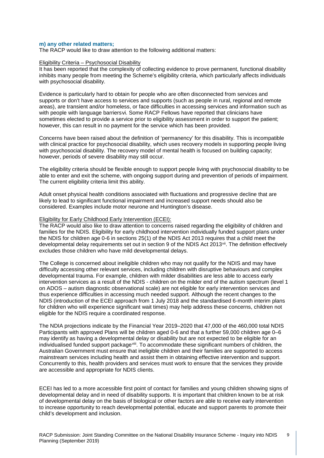### **m) any other related matters;**

The RACP would like to draw attention to the following additional matters:

#### Eligibility Criteria – Psychosocial Disability

It has been reported that the complexity of collecting evidence to prove permanent, functional disability inhibits many people from meeting the Scheme's eligibility criteria, which particularly affects individuals with psychosocial disability.

Evidence is particularly hard to obtain for people who are often disconnected from services and supports or don't have access to services and supports (such as people in rural, regional and remote areas), are transient and/or homeless, or face difficulties in accessing services and information such as with people with language barriers[vi](#page-5-0). Some RACP Fellows have reported that clinicians have sometimes elected to provide a service prior to eligibility assessment in order to support the patient; however, this can result in no payment for the service which has been provided.

Concerns have been raised about the definition of 'permanency' for this disability. This is incompatible with clinical practice for psychosocial disability, which uses recovery models in supporting people living with psychosocial disability. The recovery model of mental health is focused on building capacity; however, periods of severe disability may still occur.

The eligibility criteria should be flexible enough to support people living with psychosocial disability to be able to enter and exit the scheme, with ongoing support during and prevention of periods of impairment. The current eligibility criteria limit this ability.

Adult onset physical health conditions associated with fluctuations and progressive decline that are likely to lead to significant functional impairment and increased support needs should also be considered. Examples include motor neurone and Huntington's disease.

#### Eligibility for Early Childhood Early Intervention (ECEI):

The RACP would also like to draw attention to concerns raised regarding the eligibility of children and families for the NDIS. Eligibility for early childhood intervention individually funded support plans under the NDIS for children age 0-6 in sections 25(1) of the NDIS Act 2013 requires that a child meet the developmental delay requirements set out in section 9 of the NDIS Act 2013<sup>[vii](#page-5-1)</sup>. The definition effectively excludes those children who have mild developmental delays.

The College is concerned about ineligible children who may not qualify for the NDIS and may have difficulty accessing other relevant services, including children with disruptive behaviours and complex developmental trauma. For example, children with milder disabilities are less able to access early intervention services as a result of the NDIS - children on the milder end of the autism spectrum (level 1 on ADOS – autism diagnostic observational scale) are not eligible for early intervention services and thus experience difficulties in accessing much needed support. Although the recent changes to the NDIS (introduction of the ECEI approach from 1 July 2018 and the standardised 6-month interim plans for children who will experience significant wait times) may help address these concerns, children not eligible for the NDIS require a coordinated response.

The NDIA projections indicate by the Financial Year 2019–2020 that 47,000 of the 460,000 total NDIS Participants with approved Plans will be children aged 0-6 and that a further 59,000 children age 0–6 may identify as having a developmental delay or disability but are not expected to be eligible for an individualised funded support packagevill. To accommodate these significant numbers of children, the Australian Government must ensure that ineligible children and their families are supported to access mainstream services including health and assist them in obtaining effective intervention and support. Concurrently to this, health providers and services must work to ensure that the services they provide are accessible and appropriate for NDIS clients.

ECEI has led to a more accessible first point of contact for families and young children showing signs of developmental delay and in need of disability supports. It is important that children known to be at risk of developmental delay on the basis of biological or other factors are able to receive early intervention to increase opportunity to reach developmental potential, educate and support parents to promote their child's development and inclusion.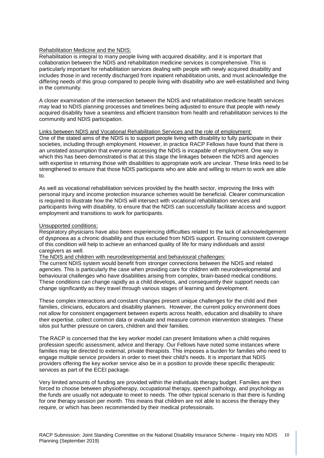## Rehabilitation Medicine and the NDIS:

Rehabilitation is integral to many people living with acquired disability, and it is important that collaboration between the NDIS and rehabilitation medicine services is comprehensive. This is particularly important for rehabilitation services dealing with people with newly acquired disability and includes those in and recently discharged from inpatient rehabilitation units, and must acknowledge the differing needs of this group compared to people living with disability who are well-established and living in the community.

A closer examination of the intersection between the NDIS and rehabilitation medicine health services may lead to NDIS planning processes and timelines being adjusted to ensure that people with newly acquired disability have a seamless and efficient transition from health and rehabilitation services to the community and NDIS participation.

#### Links between NDIS and Vocational Rehabilitation Services and the role of employment:

One of the stated aims of the NDIS is to support people living with disability to fully participate in their societies, including through employment. However, in practice RACP Fellows have found that there is an unstated assumption that everyone accessing the NDIS is incapable of employment. One way in which this has been demonstrated is that at this stage the linkages between the NDIS and agencies with expertise in returning those with disabilities to appropriate work are unclear. These links need to be strengthened to ensure that those NDIS participants who are able and willing to return to work are able to.

As well as vocational rehabilitation services provided by the health sector, improving the links with personal injury and income protection insurance schemes would be beneficial. Clearer communication is required to illustrate how the NDIS will intersect with vocational rehabilitation services and participants living with disability, to ensure that the NDIS can successfully facilitate access and support employment and transitions to work for participants.

## Unsupported conditions:

Respiratory physicians have also been experiencing difficulties related to the lack of acknowledgement of dyspnoea as a chronic disability and thus excluded from NDIS support. Ensuring consistent coverage of this condition will help to achieve an enhanced quality of life for many individuals and assist caregivers as well.

## The NDIS and children with neurodevelopmental and behavioural challenges:

The current NDIS system would benefit from stronger connections between the NDIS and related agencies. This is particularly the case when providing care for children with neurodevelopmental and behavioural challenges who have disabilities arising from complex, brain-based medical conditions. These conditions can change rapidly as a child develops, and consequently their support needs can change significantly as they travel through various stages of learning and development.

These complex interactions and constant changes present unique challenges for the child and their families, clinicians, educators and disability planners. However, the current policy environment does not allow for consistent engagement between experts across health, education and disability to share their expertise, collect common data or evaluate and measure common intervention strategies. These silos put further pressure on carers, children and their families.

The RACP is concerned that the key worker model can present limitations when a child requires profession specific assessment, advice and therapy. Our Fellows have noted some instances where families may be directed to external, private therapists. This imposes a burden for families who need to engage multiple service providers in order to meet their child's needs. It is important that NDIS providers offering the key worker service also be in a position to provide these specific therapeutic services as part of the ECEI package.

Very limited amounts of funding are provided within the individuals therapy budget. Families are then forced to choose between physiotherapy, occupational therapy, speech pathology, and psychology as the funds are usually not adequate to meet to needs. The other typical scenario is that there is funding for one therapy session per month. This means that children are not able to access the therapy they require, or which has been recommended by their medical professionals.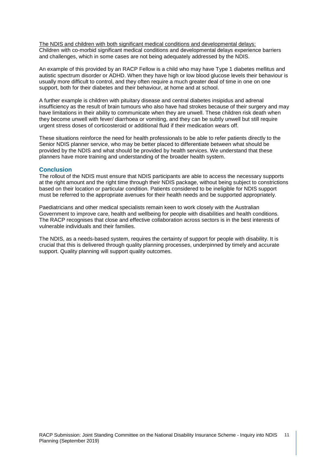The NDIS and children with both significant medical conditions and developmental delays: Children with co-morbid significant medical conditions and developmental delays experience barriers and challenges, which in some cases are not being adequately addressed by the NDIS.

An example of this provided by an RACP Fellow is a child who may have Type 1 diabetes mellitus and autistic spectrum disorder or ADHD. When they have high or low blood glucose levels their behaviour is usually more difficult to control, and they often require a much greater deal of time in one on one support, both for their diabetes and their behaviour, at home and at school.

A further example is children with pituitary disease and central diabetes insipidus and adrenal insufficiency as the result of brain tumours who also have had strokes because of their surgery and may have limitations in their ability to communicate when they are unwell. These children risk death when they become unwell with fever/ diarrhoea or vomiting, and they can be subtly unwell but still require urgent stress doses of corticosteroid or additional fluid if their medication wears off.

These situations reinforce the need for health professionals to be able to refer patients directly to the Senior NDIS planner service, who may be better placed to differentiate between what should be provided by the NDIS and what should be provided by health services. We understand that these planners have more training and understanding of the broader health system.

## **Conclusion**

The rollout of the NDIS must ensure that NDIS participants are able to access the necessary supports at the right amount and the right time through their NDIS package, without being subject to constrictions based on their location or particular condition. Patients considered to be ineligible for NDIS support must be referred to the appropriate avenues for their health needs and be supported appropriately.

Paediatricians and other medical specialists remain keen to work closely with the Australian Government to improve care, health and wellbeing for people with disabilities and health conditions. The RACP recognises that close and effective collaboration across sectors is in the best interests of vulnerable individuals and their families.

The NDIS, as a needs-based system, requires the certainty of support for people with disability. It is crucial that this is delivered through quality planning processes, underpinned by timely and accurate support. Quality planning will support quality outcomes.